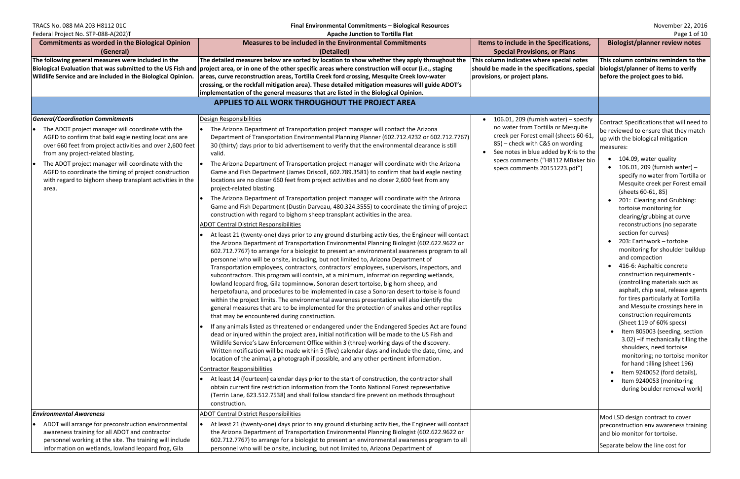Federal Project No. STP-088-A(202)T **Apache Junction to Tortilla Flat** Page 1 of 10

TRACS No. 088 MA 203 H8112 01C<br>**Final Environmental Commitments** – **Biological Resources** November 22, 2016<br>**Apache Junction to Tortilla Flat Apache Security Apache Security Apache Security Apache Security Apache Securit** 

| $C^2$                                                                                                                                                                                                                                                                                                                                                                                                                                                     | <b>Apache Junction to Torting Fig</b>                                                                                                                                                                                                                                                                                                                                                                                                                                                                                                                                                                                                                                                                                                                                                                                                                                                                                                                                                                                                                                                                                                                                                                                                                                                                                                                                                                                                                                                                                                                                                                                                                                                                                                                                                                                                                                                                                                                                                                                                                                                                                                                                                                                                                                                                                                                                                                                                                                                                                                                                                                                                                                                                                                                                                                                                        |                                                                                                                                                                                                                                                                                   | $195C + O1 + O$                                                                                                                                                                                                                                                                                                                                                                                                                                                                                                                                                                                                                                                                                                                                                                                                                                                                                                                                                                                                                                                       |
|-----------------------------------------------------------------------------------------------------------------------------------------------------------------------------------------------------------------------------------------------------------------------------------------------------------------------------------------------------------------------------------------------------------------------------------------------------------|----------------------------------------------------------------------------------------------------------------------------------------------------------------------------------------------------------------------------------------------------------------------------------------------------------------------------------------------------------------------------------------------------------------------------------------------------------------------------------------------------------------------------------------------------------------------------------------------------------------------------------------------------------------------------------------------------------------------------------------------------------------------------------------------------------------------------------------------------------------------------------------------------------------------------------------------------------------------------------------------------------------------------------------------------------------------------------------------------------------------------------------------------------------------------------------------------------------------------------------------------------------------------------------------------------------------------------------------------------------------------------------------------------------------------------------------------------------------------------------------------------------------------------------------------------------------------------------------------------------------------------------------------------------------------------------------------------------------------------------------------------------------------------------------------------------------------------------------------------------------------------------------------------------------------------------------------------------------------------------------------------------------------------------------------------------------------------------------------------------------------------------------------------------------------------------------------------------------------------------------------------------------------------------------------------------------------------------------------------------------------------------------------------------------------------------------------------------------------------------------------------------------------------------------------------------------------------------------------------------------------------------------------------------------------------------------------------------------------------------------------------------------------------------------------------------------------------------------|-----------------------------------------------------------------------------------------------------------------------------------------------------------------------------------------------------------------------------------------------------------------------------------|-----------------------------------------------------------------------------------------------------------------------------------------------------------------------------------------------------------------------------------------------------------------------------------------------------------------------------------------------------------------------------------------------------------------------------------------------------------------------------------------------------------------------------------------------------------------------------------------------------------------------------------------------------------------------------------------------------------------------------------------------------------------------------------------------------------------------------------------------------------------------------------------------------------------------------------------------------------------------------------------------------------------------------------------------------------------------|
| <b>Commitments as worded in the Biological Opinion</b><br>(General)                                                                                                                                                                                                                                                                                                                                                                                       | <b>Measures to be included in the Environmental Commitments</b><br>(Detailed)                                                                                                                                                                                                                                                                                                                                                                                                                                                                                                                                                                                                                                                                                                                                                                                                                                                                                                                                                                                                                                                                                                                                                                                                                                                                                                                                                                                                                                                                                                                                                                                                                                                                                                                                                                                                                                                                                                                                                                                                                                                                                                                                                                                                                                                                                                                                                                                                                                                                                                                                                                                                                                                                                                                                                                | Items to include in the Specifications,<br><b>Special Provisions, or Plans</b>                                                                                                                                                                                                    | <b>Biologist/planner review notes</b>                                                                                                                                                                                                                                                                                                                                                                                                                                                                                                                                                                                                                                                                                                                                                                                                                                                                                                                                                                                                                                 |
| The following general measures were included in the<br>Biological Evaluation that was submitted to the US Fish and<br><b>Wildlife Service and are included in the Biological Opinion.</b>                                                                                                                                                                                                                                                                 | The detailed measures below are sorted by location to show whether they apply throughout the<br>$ $ project area, or in one of the other specific areas where construction will occur (i.e., staging<br>areas, curve reconstruction areas, Tortilla Creek ford crossing, Mesquite Creek low-water<br>crossing, or the rockfall mitigation area). These detailed mitigation measures will guide ADOT's<br>implementation of the general measures that are listed in the Biological Opinion.<br>APPLIES TO ALL WORK THROUGHOUT THE PROJECT AREA                                                                                                                                                                                                                                                                                                                                                                                                                                                                                                                                                                                                                                                                                                                                                                                                                                                                                                                                                                                                                                                                                                                                                                                                                                                                                                                                                                                                                                                                                                                                                                                                                                                                                                                                                                                                                                                                                                                                                                                                                                                                                                                                                                                                                                                                                                | This column indicates where special notes<br>should be made in the specifications, special<br>provisions, or project plans.                                                                                                                                                       | This column contains reminders to the<br>biologist/planner of items to verify<br>before the project goes to bid.                                                                                                                                                                                                                                                                                                                                                                                                                                                                                                                                                                                                                                                                                                                                                                                                                                                                                                                                                      |
|                                                                                                                                                                                                                                                                                                                                                                                                                                                           |                                                                                                                                                                                                                                                                                                                                                                                                                                                                                                                                                                                                                                                                                                                                                                                                                                                                                                                                                                                                                                                                                                                                                                                                                                                                                                                                                                                                                                                                                                                                                                                                                                                                                                                                                                                                                                                                                                                                                                                                                                                                                                                                                                                                                                                                                                                                                                                                                                                                                                                                                                                                                                                                                                                                                                                                                                              |                                                                                                                                                                                                                                                                                   |                                                                                                                                                                                                                                                                                                                                                                                                                                                                                                                                                                                                                                                                                                                                                                                                                                                                                                                                                                                                                                                                       |
| <b>General/Coordination Commitments</b><br>The ADOT project manager will coordinate with the<br>AGFD to confirm that bald eagle nesting locations are<br>over 660 feet from project activities and over 2,600 feet<br>from any project-related blasting.<br>The ADOT project manager will coordinate with the<br>$\bullet$<br>AGFD to coordinate the timing of project construction<br>with regard to bighorn sheep transplant activities in the<br>area. | Design Responsibilities<br>The Arizona Department of Transportation project manager will contact the Arizona<br>Department of Transportation Environmental Planning Planner (602.712.4232 or 602.712.7767)<br>30 (thirty) days prior to bid advertisement to verify that the environmental clearance is still<br>valid.<br>The Arizona Department of Transportation project manager will coordinate with the Arizona<br>Game and Fish Department (James Driscoll, 602.789.3581) to confirm that bald eagle nesting<br>locations are no closer 660 feet from project activities and no closer 2,600 feet from any<br>project-related blasting.<br>The Arizona Department of Transportation project manager will coordinate with the Arizona<br>Game and Fish Department (Dustin Darveau, 480.324.3555) to coordinate the timing of project<br>construction with regard to bighorn sheep transplant activities in the area.<br><b>ADOT Central District Responsibilities</b><br>At least 21 (twenty-one) days prior to any ground disturbing activities, the Engineer will contact<br>the Arizona Department of Transportation Environmental Planning Biologist (602.622.9622 or<br>602.712.7767) to arrange for a biologist to present an environmental awareness program to all<br>personnel who will be onsite, including, but not limited to, Arizona Department of<br>Transportation employees, contractors, contractors' employees, supervisors, inspectors, and<br>subcontractors. This program will contain, at a minimum, information regarding wetlands,<br>lowland leopard frog, Gila topminnow, Sonoran desert tortoise, big horn sheep, and<br>herpetofauna, and procedures to be implemented in case a Sonoran desert tortoise is found<br>within the project limits. The environmental awareness presentation will also identify the<br>general measures that are to be implemented for the protection of snakes and other reptiles<br>that may be encountered during construction.<br>If any animals listed as threatened or endangered under the Endangered Species Act are found<br>dead or injured within the project area, initial notification will be made to the US Fish and<br>Wildlife Service's Law Enforcement Office within 3 (three) working days of the discovery.<br>Written notification will be made within 5 (five) calendar days and include the date, time, and<br>location of the animal, a photograph if possible, and any other pertinent information.<br><b>Contractor Responsibilities</b><br>At least 14 (fourteen) calendar days prior to the start of construction, the contractor shall<br>obtain current fire restriction information from the Tonto National Forest representative<br>(Terrin Lane, 623.512.7538) and shall follow standard fire prevention methods throughout<br>construction. | $\bullet$ 106.01, 209 (furnish water) - specify<br>no water from Tortilla or Mesquite<br>creek per Forest email (sheets 60-61,<br>85) - check with C&S on wording<br>See notes in blue added by Kris to the<br>specs comments ("H8112 MBaker bio<br>specs comments 20151223.pdf") | Contract Specifications that will need to<br>be reviewed to ensure that they match<br>up with the biological mitigation<br>measures:<br>104.09, water quality<br>106.01, 209 (furnish water) -<br>specify no water from Tortilla or<br>Mesquite creek per Forest email<br>(sheets 60-61, 85)<br>201: Clearing and Grubbing:<br>tortoise monitoring for<br>clearing/grubbing at curve<br>reconstructions (no separate<br>section for curves)<br>203: Earthwork - tortoise<br>monitoring for shoulder buildup<br>and compaction<br>416-6: Asphaltic concrete<br>construction requirements -<br>(controlling materials such as<br>asphalt, chip seal, release agents<br>for tires particularly at Tortilla<br>and Mesquite crossings here in<br>construction requirements<br>(Sheet 119 of 60% specs)<br>Item 805003 (seeding, section<br>3.02) - if mechanically tilling the<br>shoulders, need tortoise<br>monitoring; no tortoise monitor<br>for hand tilling (sheet 196)<br>Item 9240052 (ford details),<br>Item 9240053 (monitoring<br>during boulder removal work) |
| <b>Environmental Awareness</b>                                                                                                                                                                                                                                                                                                                                                                                                                            | <b>ADOT Central District Responsibilities</b>                                                                                                                                                                                                                                                                                                                                                                                                                                                                                                                                                                                                                                                                                                                                                                                                                                                                                                                                                                                                                                                                                                                                                                                                                                                                                                                                                                                                                                                                                                                                                                                                                                                                                                                                                                                                                                                                                                                                                                                                                                                                                                                                                                                                                                                                                                                                                                                                                                                                                                                                                                                                                                                                                                                                                                                                |                                                                                                                                                                                                                                                                                   |                                                                                                                                                                                                                                                                                                                                                                                                                                                                                                                                                                                                                                                                                                                                                                                                                                                                                                                                                                                                                                                                       |
| ADOT will arrange for preconstruction environmental<br>awareness training for all ADOT and contractor<br>personnel working at the site. The training will include<br>information on wetlands, lowland leopard frog, Gila                                                                                                                                                                                                                                  | At least 21 (twenty-one) days prior to any ground disturbing activities, the Engineer will contact<br>the Arizona Department of Transportation Environmental Planning Biologist (602.622.9622 or<br>602.712.7767) to arrange for a biologist to present an environmental awareness program to all<br>personnel who will be onsite, including, but not limited to, Arizona Department of                                                                                                                                                                                                                                                                                                                                                                                                                                                                                                                                                                                                                                                                                                                                                                                                                                                                                                                                                                                                                                                                                                                                                                                                                                                                                                                                                                                                                                                                                                                                                                                                                                                                                                                                                                                                                                                                                                                                                                                                                                                                                                                                                                                                                                                                                                                                                                                                                                                      |                                                                                                                                                                                                                                                                                   | Mod LSD design contract to cover<br>preconstruction env awareness training<br>and bio monitor for tortoise.<br>Separate below the line cost for                                                                                                                                                                                                                                                                                                                                                                                                                                                                                                                                                                                                                                                                                                                                                                                                                                                                                                                       |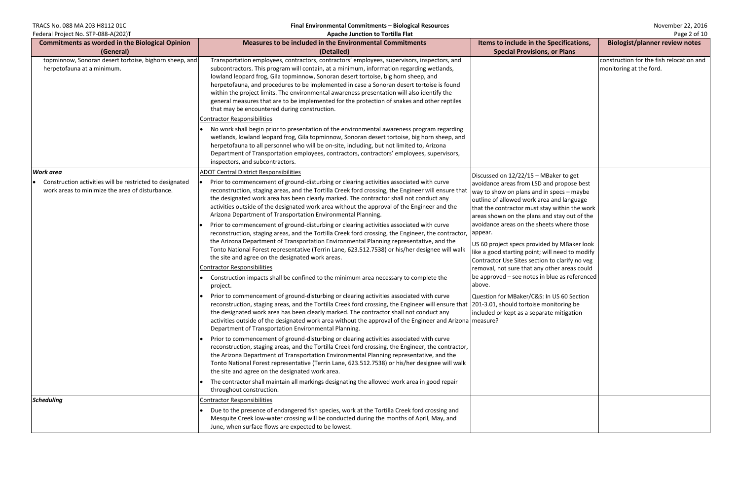TRACS No. 088 MA 203 H8112 01C<br> **Final Environmental Commitments – Biological Resources** November 22, 2016<br> **Apache Junction to Tortilla Flat** Apache **Mustum of Tortilla Flat** Page 2 of 10

| <b>Commitments as worded in the Biological Opinion</b>                                                      | Measures to be included in the Environmental Commitments                                                                                                                                                                                                                                                                                                                                                                                                                                                                                                                                                                                                                                                                                                                                                                                                                                                                                                                                                                                                                                                                                                                                                                                                                                                                                                                                                                                                                                                                                                   | Items to include in the Specifications,                                                                                                                                                                                                                                                                                                                                                                                                                                                                                                                                                                                                                       | <b>Biologist/planner review notes</b>                               |
|-------------------------------------------------------------------------------------------------------------|------------------------------------------------------------------------------------------------------------------------------------------------------------------------------------------------------------------------------------------------------------------------------------------------------------------------------------------------------------------------------------------------------------------------------------------------------------------------------------------------------------------------------------------------------------------------------------------------------------------------------------------------------------------------------------------------------------------------------------------------------------------------------------------------------------------------------------------------------------------------------------------------------------------------------------------------------------------------------------------------------------------------------------------------------------------------------------------------------------------------------------------------------------------------------------------------------------------------------------------------------------------------------------------------------------------------------------------------------------------------------------------------------------------------------------------------------------------------------------------------------------------------------------------------------------|---------------------------------------------------------------------------------------------------------------------------------------------------------------------------------------------------------------------------------------------------------------------------------------------------------------------------------------------------------------------------------------------------------------------------------------------------------------------------------------------------------------------------------------------------------------------------------------------------------------------------------------------------------------|---------------------------------------------------------------------|
| (General)                                                                                                   | (Detailed)                                                                                                                                                                                                                                                                                                                                                                                                                                                                                                                                                                                                                                                                                                                                                                                                                                                                                                                                                                                                                                                                                                                                                                                                                                                                                                                                                                                                                                                                                                                                                 | <b>Special Provisions, or Plans</b>                                                                                                                                                                                                                                                                                                                                                                                                                                                                                                                                                                                                                           |                                                                     |
| topminnow, Sonoran desert tortoise, bighorn sheep, and<br>herpetofauna at a minimum.                        | Transportation employees, contractors, contractors' employees, supervisors, inspectors, and<br>subcontractors. This program will contain, at a minimum, information regarding wetlands,<br>lowland leopard frog, Gila topminnow, Sonoran desert tortoise, big horn sheep, and<br>herpetofauna, and procedures to be implemented in case a Sonoran desert tortoise is found<br>within the project limits. The environmental awareness presentation will also identify the<br>general measures that are to be implemented for the protection of snakes and other reptiles<br>that may be encountered during construction.                                                                                                                                                                                                                                                                                                                                                                                                                                                                                                                                                                                                                                                                                                                                                                                                                                                                                                                                    |                                                                                                                                                                                                                                                                                                                                                                                                                                                                                                                                                                                                                                                               | construction for the fish relocation and<br>monitoring at the ford. |
|                                                                                                             | Contractor Responsibilities                                                                                                                                                                                                                                                                                                                                                                                                                                                                                                                                                                                                                                                                                                                                                                                                                                                                                                                                                                                                                                                                                                                                                                                                                                                                                                                                                                                                                                                                                                                                |                                                                                                                                                                                                                                                                                                                                                                                                                                                                                                                                                                                                                                                               |                                                                     |
|                                                                                                             | No work shall begin prior to presentation of the environmental awareness program regarding<br>wetlands, lowland leopard frog, Gila topminnow, Sonoran desert tortoise, big horn sheep, and<br>herpetofauna to all personnel who will be on-site, including, but not limited to, Arizona<br>Department of Transportation employees, contractors, contractors' employees, supervisors,<br>inspectors, and subcontractors.                                                                                                                                                                                                                                                                                                                                                                                                                                                                                                                                                                                                                                                                                                                                                                                                                                                                                                                                                                                                                                                                                                                                    |                                                                                                                                                                                                                                                                                                                                                                                                                                                                                                                                                                                                                                                               |                                                                     |
| <b>Work area</b>                                                                                            | <b>ADOT Central District Responsibilities</b>                                                                                                                                                                                                                                                                                                                                                                                                                                                                                                                                                                                                                                                                                                                                                                                                                                                                                                                                                                                                                                                                                                                                                                                                                                                                                                                                                                                                                                                                                                              | Discussed on 12/22/15 - MBaker to get                                                                                                                                                                                                                                                                                                                                                                                                                                                                                                                                                                                                                         |                                                                     |
| Construction activities will be restricted to designated<br>work areas to minimize the area of disturbance. | Prior to commencement of ground-disturbing or clearing activities associated with curve<br>reconstruction, staging areas, and the Tortilla Creek ford crossing, the Engineer will ensure that<br>the designated work area has been clearly marked. The contractor shall not conduct any<br>activities outside of the designated work area without the approval of the Engineer and the<br>Arizona Department of Transportation Environmental Planning.<br>Prior to commencement of ground-disturbing or clearing activities associated with curve<br>reconstruction, staging areas, and the Tortilla Creek ford crossing, the Engineer, the contractor,<br>the Arizona Department of Transportation Environmental Planning representative, and the<br>Tonto National Forest representative (Terrin Lane, 623.512.7538) or his/her designee will walk<br>the site and agree on the designated work areas.<br><b>Contractor Responsibilities</b><br>Construction impacts shall be confined to the minimum area necessary to complete the<br>project.<br>Prior to commencement of ground-disturbing or clearing activities associated with curve<br>reconstruction, staging areas, and the Tortilla Creek ford crossing, the Engineer will ensure that  201-3.01, should tortoise monitoring be<br>the designated work area has been clearly marked. The contractor shall not conduct any<br>activities outside of the designated work area without the approval of the Engineer and Arizona measure?<br>Department of Transportation Environmental Planning. | avoidance areas from LSD and propose best<br>way to show on plans and in specs – maybe<br>outline of allowed work area and language<br>that the contractor must stay within the work<br>areas shown on the plans and stay out of the<br>avoidance areas on the sheets where those<br>appear.<br>US 60 project specs provided by MBaker look<br>like a good starting point; will need to modify<br>Contractor Use Sites section to clarify no veg<br>removal, not sure that any other areas could<br>$\beta$ be approved – see notes in blue as referenced<br>above.<br>Question for MBaker/C&S: In US 60 Section<br>included or kept as a separate mitigation |                                                                     |
|                                                                                                             | Prior to commencement of ground-disturbing or clearing activities associated with curve<br>reconstruction, staging areas, and the Tortilla Creek ford crossing, the Engineer, the contractor,<br>the Arizona Department of Transportation Environmental Planning representative, and the<br>Tonto National Forest representative (Terrin Lane, 623.512.7538) or his/her designee will walk<br>the site and agree on the designated work area.<br>The contractor shall maintain all markings designating the allowed work area in good repair                                                                                                                                                                                                                                                                                                                                                                                                                                                                                                                                                                                                                                                                                                                                                                                                                                                                                                                                                                                                               |                                                                                                                                                                                                                                                                                                                                                                                                                                                                                                                                                                                                                                                               |                                                                     |
|                                                                                                             | throughout construction.                                                                                                                                                                                                                                                                                                                                                                                                                                                                                                                                                                                                                                                                                                                                                                                                                                                                                                                                                                                                                                                                                                                                                                                                                                                                                                                                                                                                                                                                                                                                   |                                                                                                                                                                                                                                                                                                                                                                                                                                                                                                                                                                                                                                                               |                                                                     |
| <b>Scheduling</b>                                                                                           | <b>Contractor Responsibilities</b>                                                                                                                                                                                                                                                                                                                                                                                                                                                                                                                                                                                                                                                                                                                                                                                                                                                                                                                                                                                                                                                                                                                                                                                                                                                                                                                                                                                                                                                                                                                         |                                                                                                                                                                                                                                                                                                                                                                                                                                                                                                                                                                                                                                                               |                                                                     |
|                                                                                                             | Due to the presence of endangered fish species, work at the Tortilla Creek ford crossing and<br>Mesquite Creek low-water crossing will be conducted during the months of April, May, and<br>June, when surface flows are expected to be lowest.                                                                                                                                                                                                                                                                                                                                                                                                                                                                                                                                                                                                                                                                                                                                                                                                                                                                                                                                                                                                                                                                                                                                                                                                                                                                                                            |                                                                                                                                                                                                                                                                                                                                                                                                                                                                                                                                                                                                                                                               |                                                                     |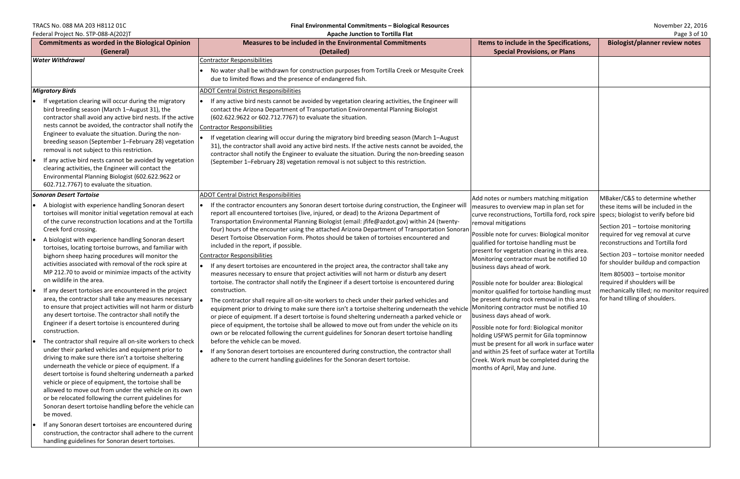# TRACS No. 088 MA 203 H8112 01C<br> **Final Environmental Commitments – Biological Resources** November 22, 2016<br> **Apache Junction to Tortilla Flat** Apache **Museum Apache School Apache Inntinents** – Biological Resources Paget 3

| Federal Project No. STP-088-A(202)T                                                                                                                                                                                                                                                                                                                                                                                                                                                                                                                                                                                                                                                                                                                                                                                                                                                                                                                                                                                                                                                                                                                                                                                                                                                                                                                                                           | <b>Apache Junction to Tortilla Flat</b>                                                                                                                                                                                                                                                                                                                                                                                                                                                                                                                                                                                                                                                                                                                                                                                                                                                                                                                                                                                                                                                                                                                                                                                                                                                                                                                                                                                                                                                                                                                                                                |                                                                                                                                                                                                                                                                                                                                                                                                                                                                                                                                                                                                                                                                                                                                                                                                                                                    |
|-----------------------------------------------------------------------------------------------------------------------------------------------------------------------------------------------------------------------------------------------------------------------------------------------------------------------------------------------------------------------------------------------------------------------------------------------------------------------------------------------------------------------------------------------------------------------------------------------------------------------------------------------------------------------------------------------------------------------------------------------------------------------------------------------------------------------------------------------------------------------------------------------------------------------------------------------------------------------------------------------------------------------------------------------------------------------------------------------------------------------------------------------------------------------------------------------------------------------------------------------------------------------------------------------------------------------------------------------------------------------------------------------|--------------------------------------------------------------------------------------------------------------------------------------------------------------------------------------------------------------------------------------------------------------------------------------------------------------------------------------------------------------------------------------------------------------------------------------------------------------------------------------------------------------------------------------------------------------------------------------------------------------------------------------------------------------------------------------------------------------------------------------------------------------------------------------------------------------------------------------------------------------------------------------------------------------------------------------------------------------------------------------------------------------------------------------------------------------------------------------------------------------------------------------------------------------------------------------------------------------------------------------------------------------------------------------------------------------------------------------------------------------------------------------------------------------------------------------------------------------------------------------------------------------------------------------------------------------------------------------------------------|----------------------------------------------------------------------------------------------------------------------------------------------------------------------------------------------------------------------------------------------------------------------------------------------------------------------------------------------------------------------------------------------------------------------------------------------------------------------------------------------------------------------------------------------------------------------------------------------------------------------------------------------------------------------------------------------------------------------------------------------------------------------------------------------------------------------------------------------------|
| <b>Commitments as worded in the Biological Opinion</b>                                                                                                                                                                                                                                                                                                                                                                                                                                                                                                                                                                                                                                                                                                                                                                                                                                                                                                                                                                                                                                                                                                                                                                                                                                                                                                                                        | <b>Measures to be included in the Environmental Commitments</b>                                                                                                                                                                                                                                                                                                                                                                                                                                                                                                                                                                                                                                                                                                                                                                                                                                                                                                                                                                                                                                                                                                                                                                                                                                                                                                                                                                                                                                                                                                                                        | Items to include in the Specifications,                                                                                                                                                                                                                                                                                                                                                                                                                                                                                                                                                                                                                                                                                                                                                                                                            |
| (General)                                                                                                                                                                                                                                                                                                                                                                                                                                                                                                                                                                                                                                                                                                                                                                                                                                                                                                                                                                                                                                                                                                                                                                                                                                                                                                                                                                                     | (Detailed)                                                                                                                                                                                                                                                                                                                                                                                                                                                                                                                                                                                                                                                                                                                                                                                                                                                                                                                                                                                                                                                                                                                                                                                                                                                                                                                                                                                                                                                                                                                                                                                             | <b>Special Provisions, or Plans</b>                                                                                                                                                                                                                                                                                                                                                                                                                                                                                                                                                                                                                                                                                                                                                                                                                |
| <b>Water Withdrawal</b>                                                                                                                                                                                                                                                                                                                                                                                                                                                                                                                                                                                                                                                                                                                                                                                                                                                                                                                                                                                                                                                                                                                                                                                                                                                                                                                                                                       | <b>Contractor Responsibilities</b><br>No water shall be withdrawn for construction purposes from Tortilla Creek or Mesquite Creek<br>due to limited flows and the presence of endangered fish.                                                                                                                                                                                                                                                                                                                                                                                                                                                                                                                                                                                                                                                                                                                                                                                                                                                                                                                                                                                                                                                                                                                                                                                                                                                                                                                                                                                                         |                                                                                                                                                                                                                                                                                                                                                                                                                                                                                                                                                                                                                                                                                                                                                                                                                                                    |
| <b>Migratory Birds</b>                                                                                                                                                                                                                                                                                                                                                                                                                                                                                                                                                                                                                                                                                                                                                                                                                                                                                                                                                                                                                                                                                                                                                                                                                                                                                                                                                                        | <b>ADOT Central District Responsibilities</b>                                                                                                                                                                                                                                                                                                                                                                                                                                                                                                                                                                                                                                                                                                                                                                                                                                                                                                                                                                                                                                                                                                                                                                                                                                                                                                                                                                                                                                                                                                                                                          |                                                                                                                                                                                                                                                                                                                                                                                                                                                                                                                                                                                                                                                                                                                                                                                                                                                    |
| If vegetation clearing will occur during the migratory<br>bird breeding season (March 1-August 31), the<br>contractor shall avoid any active bird nests. If the active<br>nests cannot be avoided, the contractor shall notify the<br>Engineer to evaluate the situation. During the non-<br>breeding season (September 1-February 28) vegetation<br>removal is not subject to this restriction.<br>If any active bird nests cannot be avoided by vegetation<br>clearing activities, the Engineer will contact the<br>Environmental Planning Biologist (602.622.9622 or<br>602.712.7767) to evaluate the situation.                                                                                                                                                                                                                                                                                                                                                                                                                                                                                                                                                                                                                                                                                                                                                                           | If any active bird nests cannot be avoided by vegetation clearing activities, the Engineer will<br>contact the Arizona Department of Transportation Environmental Planning Biologist<br>(602.622.9622 or 602.712.7767) to evaluate the situation.<br><b>Contractor Responsibilities</b><br>If vegetation clearing will occur during the migratory bird breeding season (March 1-August<br>le<br>31), the contractor shall avoid any active bird nests. If the active nests cannot be avoided, the<br>contractor shall notify the Engineer to evaluate the situation. During the non-breeding season<br>(September 1-February 28) vegetation removal is not subject to this restriction.                                                                                                                                                                                                                                                                                                                                                                                                                                                                                                                                                                                                                                                                                                                                                                                                                                                                                                                |                                                                                                                                                                                                                                                                                                                                                                                                                                                                                                                                                                                                                                                                                                                                                                                                                                                    |
| Sonoran Desert Tortoise                                                                                                                                                                                                                                                                                                                                                                                                                                                                                                                                                                                                                                                                                                                                                                                                                                                                                                                                                                                                                                                                                                                                                                                                                                                                                                                                                                       | <b>ADOT Central District Responsibilities</b>                                                                                                                                                                                                                                                                                                                                                                                                                                                                                                                                                                                                                                                                                                                                                                                                                                                                                                                                                                                                                                                                                                                                                                                                                                                                                                                                                                                                                                                                                                                                                          | Add notes or numbers matching mitigation                                                                                                                                                                                                                                                                                                                                                                                                                                                                                                                                                                                                                                                                                                                                                                                                           |
| A biologist with experience handling Sonoran desert<br>tortoises will monitor initial vegetation removal at each<br>of the curve reconstruction locations and at the Tortilla<br>Creek ford crossing.<br>A biologist with experience handling Sonoran desert<br>tortoises, locating tortoise burrows, and familiar with<br>bighorn sheep hazing procedures will monitor the<br>activities associated with removal of the rock spire at<br>MP 212.70 to avoid or minimize impacts of the activity<br>on wildlife in the area.<br>If any desert tortoises are encountered in the project<br>area, the contractor shall take any measures necessary<br>to ensure that project activities will not harm or disturb<br>any desert tortoise. The contractor shall notify the<br>Engineer if a desert tortoise is encountered during<br>construction.<br>The contractor shall require all on-site workers to check<br>under their parked vehicles and equipment prior to<br>driving to make sure there isn't a tortoise sheltering<br>underneath the vehicle or piece of equipment. If a<br>desert tortoise is found sheltering underneath a parked<br>vehicle or piece of equipment, the tortoise shall be<br>allowed to move out from under the vehicle on its own<br>or be relocated following the current guidelines for<br>Sonoran desert tortoise handling before the vehicle can<br>be moved. | If the contractor encounters any Sonoran desert tortoise during construction, the Engineer will<br>report all encountered tortoises (live, injured, or dead) to the Arizona Department of<br>Transportation Environmental Planning Biologist (email: jfife@azdot.gov) within 24 (twenty-<br>four) hours of the encounter using the attached Arizona Department of Transportation Sonoran<br>Desert Tortoise Observation Form. Photos should be taken of tortoises encountered and<br>included in the report, if possible.<br><b>Contractor Responsibilities</b><br>If any desert tortoises are encountered in the project area, the contractor shall take any<br>measures necessary to ensure that project activities will not harm or disturb any desert<br>tortoise. The contractor shall notify the Engineer if a desert tortoise is encountered during<br>construction.<br>The contractor shall require all on-site workers to check under their parked vehicles and<br>equipment prior to driving to make sure there isn't a tortoise sheltering underneath the vehicle<br>or piece of equipment. If a desert tortoise is found sheltering underneath a parked vehicle or<br>piece of equipment, the tortoise shall be allowed to move out from under the vehicle on its<br>own or be relocated following the current guidelines for Sonoran desert tortoise handling<br>before the vehicle can be moved.<br>If any Sonoran desert tortoises are encountered during construction, the contractor shall<br>$\bullet$<br>adhere to the current handling guidelines for the Sonoran desert tortoise. | measures to overview map in plan set for<br>curve reconstructions, Tortilla ford, rock spire<br>removal mitigations<br>Possible note for curves: Biological monitor<br>qualified for tortoise handling must be<br>present for vegetation clearing in this area.<br>Monitoring contractor must be notified 10<br>business days ahead of work.<br>Possible note for boulder area: Biological<br>monitor qualified for tortoise handling must<br>be present during rock removal in this area.<br>Monitoring contractor must be notified 10<br>business days ahead of work.<br>Possible note for ford: Biological monitor<br>holding USFWS permit for Gila topminnow<br>must be present for all work in surface water<br>and within 25 feet of surface water at Tortilla<br>Creek. Work must be completed during the<br>months of April, May and June. |
| If any Sonoran desert tortoises are encountered during<br>construction, the contractor shall adhere to the current<br>handling guidelines for Sonoran desert tortoises.                                                                                                                                                                                                                                                                                                                                                                                                                                                                                                                                                                                                                                                                                                                                                                                                                                                                                                                                                                                                                                                                                                                                                                                                                       |                                                                                                                                                                                                                                                                                                                                                                                                                                                                                                                                                                                                                                                                                                                                                                                                                                                                                                                                                                                                                                                                                                                                                                                                                                                                                                                                                                                                                                                                                                                                                                                                        |                                                                                                                                                                                                                                                                                                                                                                                                                                                                                                                                                                                                                                                                                                                                                                                                                                                    |

| he Specifications,<br>ons, or Plans                                                                                                                                                                                                                                                                                          | <b>Biologist/planner review notes</b>                                                                                                                                                                                                                                                                                                        |
|------------------------------------------------------------------------------------------------------------------------------------------------------------------------------------------------------------------------------------------------------------------------------------------------------------------------------|----------------------------------------------------------------------------------------------------------------------------------------------------------------------------------------------------------------------------------------------------------------------------------------------------------------------------------------------|
|                                                                                                                                                                                                                                                                                                                              |                                                                                                                                                                                                                                                                                                                                              |
|                                                                                                                                                                                                                                                                                                                              |                                                                                                                                                                                                                                                                                                                                              |
| atching mitigation<br>ap in plan set for<br>ortilla ford, rock spire                                                                                                                                                                                                                                                         | MBaker/C&S to determine whether<br>these items will be included in the<br>specs; biologist to verify before bid                                                                                                                                                                                                                              |
| <b>Biological monitor</b><br>dling must be<br>earing in this area.<br>ust be notified 10<br>ork.<br>r area: Biological<br>toise handling must<br>emoval in this area.<br>ust be notified 10<br>ork.<br>ological monitor<br>r Gila topminnow<br>ork in surface water<br>face water at Tortilla<br>npleted during the<br>June. | Section 201 - tortoise monitoring<br>required for veg removal at curve<br>reconstructions and Tortilla ford<br>Section 203 - tortoise monitor needed<br>for shoulder buildup and compaction<br>Item 805003 - tortoise monitor<br>required if shoulders will be<br>mechanically tilled; no monitor required<br>for hand tilling of shoulders. |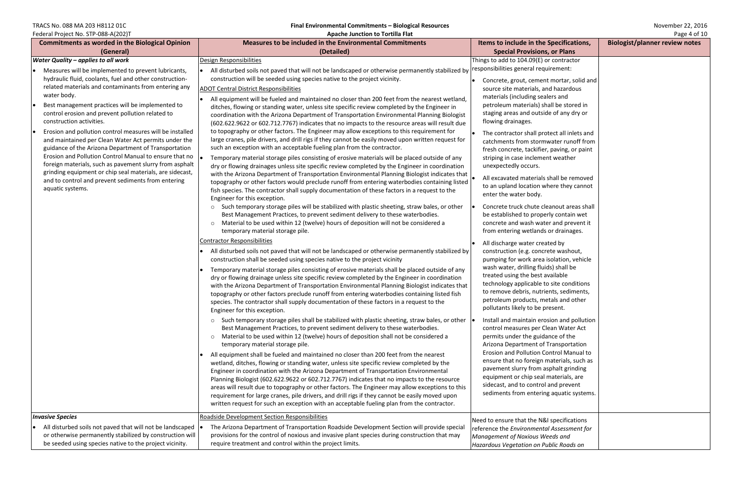Federal Project No. STP-088-A(202)T **Apache Junction to Tortilla Flat** Page 4 of 10

TRACS No. 088 MA 203 H8112 01C<br> **Final Environmental Commitments – Biological Resources** November 22, 2016<br> **Apache Junction to Tortilla Flat** Apache **Hunction to Tortilla Flat** Page 4 of 10

| $\frac{1}{2}$<br><b>Commitments as worded in the Biological Opinion</b>                                                                                                                                                                                                                                                                                                                                                                                                                                                                                                                                                                                                                                                                                                                                        | <b>Apache Junction to Torting Fig</b><br><b>Measures to be included in the Environmental Commitments</b>                                                                                                                                                                                                                                                                                                                                                                                                                                                                                                                                                                                                                                                                                                                                                                                                                                                                                                                                                                                                                                                                                                                                                                                                                                                                                                                                                                                                                                                                                                                                                                                                                                                                                                                                                                                                                                                                                                                                                                                                                                                                                                                                                                                                                                                                                                                                                                                                                                                                                                                                                                                                                                                                                                                                                                                                                                                                                                                                                                                                                                                                                                                                                                                                                                                                                                                                                                                                                                                      | Items to include in the Specifications,                                                                                                                                                                                                                                                                                                                                                                                                                                                                                                                                                                                                                                                                                                                                                                                                                                                                                                                                                                                                                                                                                                                                                                                                                                                                                                                                                                                                                                                                                                                                                                                      | $1.48C + 0111C$<br><b>Biologist/planner review notes</b> |
|----------------------------------------------------------------------------------------------------------------------------------------------------------------------------------------------------------------------------------------------------------------------------------------------------------------------------------------------------------------------------------------------------------------------------------------------------------------------------------------------------------------------------------------------------------------------------------------------------------------------------------------------------------------------------------------------------------------------------------------------------------------------------------------------------------------|---------------------------------------------------------------------------------------------------------------------------------------------------------------------------------------------------------------------------------------------------------------------------------------------------------------------------------------------------------------------------------------------------------------------------------------------------------------------------------------------------------------------------------------------------------------------------------------------------------------------------------------------------------------------------------------------------------------------------------------------------------------------------------------------------------------------------------------------------------------------------------------------------------------------------------------------------------------------------------------------------------------------------------------------------------------------------------------------------------------------------------------------------------------------------------------------------------------------------------------------------------------------------------------------------------------------------------------------------------------------------------------------------------------------------------------------------------------------------------------------------------------------------------------------------------------------------------------------------------------------------------------------------------------------------------------------------------------------------------------------------------------------------------------------------------------------------------------------------------------------------------------------------------------------------------------------------------------------------------------------------------------------------------------------------------------------------------------------------------------------------------------------------------------------------------------------------------------------------------------------------------------------------------------------------------------------------------------------------------------------------------------------------------------------------------------------------------------------------------------------------------------------------------------------------------------------------------------------------------------------------------------------------------------------------------------------------------------------------------------------------------------------------------------------------------------------------------------------------------------------------------------------------------------------------------------------------------------------------------------------------------------------------------------------------------------------------------------------------------------------------------------------------------------------------------------------------------------------------------------------------------------------------------------------------------------------------------------------------------------------------------------------------------------------------------------------------------------------------------------------------------------------------------------------------------------|------------------------------------------------------------------------------------------------------------------------------------------------------------------------------------------------------------------------------------------------------------------------------------------------------------------------------------------------------------------------------------------------------------------------------------------------------------------------------------------------------------------------------------------------------------------------------------------------------------------------------------------------------------------------------------------------------------------------------------------------------------------------------------------------------------------------------------------------------------------------------------------------------------------------------------------------------------------------------------------------------------------------------------------------------------------------------------------------------------------------------------------------------------------------------------------------------------------------------------------------------------------------------------------------------------------------------------------------------------------------------------------------------------------------------------------------------------------------------------------------------------------------------------------------------------------------------------------------------------------------------|----------------------------------------------------------|
|                                                                                                                                                                                                                                                                                                                                                                                                                                                                                                                                                                                                                                                                                                                                                                                                                | (Detailed)                                                                                                                                                                                                                                                                                                                                                                                                                                                                                                                                                                                                                                                                                                                                                                                                                                                                                                                                                                                                                                                                                                                                                                                                                                                                                                                                                                                                                                                                                                                                                                                                                                                                                                                                                                                                                                                                                                                                                                                                                                                                                                                                                                                                                                                                                                                                                                                                                                                                                                                                                                                                                                                                                                                                                                                                                                                                                                                                                                                                                                                                                                                                                                                                                                                                                                                                                                                                                                                                                                                                                    | <b>Special Provisions, or Plans</b>                                                                                                                                                                                                                                                                                                                                                                                                                                                                                                                                                                                                                                                                                                                                                                                                                                                                                                                                                                                                                                                                                                                                                                                                                                                                                                                                                                                                                                                                                                                                                                                          |                                                          |
| (General)                                                                                                                                                                                                                                                                                                                                                                                                                                                                                                                                                                                                                                                                                                                                                                                                      |                                                                                                                                                                                                                                                                                                                                                                                                                                                                                                                                                                                                                                                                                                                                                                                                                                                                                                                                                                                                                                                                                                                                                                                                                                                                                                                                                                                                                                                                                                                                                                                                                                                                                                                                                                                                                                                                                                                                                                                                                                                                                                                                                                                                                                                                                                                                                                                                                                                                                                                                                                                                                                                                                                                                                                                                                                                                                                                                                                                                                                                                                                                                                                                                                                                                                                                                                                                                                                                                                                                                                               |                                                                                                                                                                                                                                                                                                                                                                                                                                                                                                                                                                                                                                                                                                                                                                                                                                                                                                                                                                                                                                                                                                                                                                                                                                                                                                                                                                                                                                                                                                                                                                                                                              |                                                          |
| <b>Water Quality - applies to all work</b><br>Measures will be implemented to prevent lubricants,<br>hydraulic fluid, coolants, fuel and other construction-<br>related materials and contaminants from entering any<br>water body.<br>Best management practices will be implemented to<br>control erosion and prevent pollution related to<br>construction activities.<br>Erosion and pollution control measures will be installed<br>and maintained per Clean Water Act permits under the<br>guidance of the Arizona Department of Transportation<br>Erosion and Pollution Control Manual to ensure that no<br>foreign materials, such as pavement slurry from asphalt<br>grinding equipment or chip seal materials, are sidecast,<br>and to control and prevent sediments from entering<br>aquatic systems. | Design Responsibilities<br>All disturbed soils not paved that will not be landscaped or otherwise permanently stabilized by<br>construction will be seeded using species native to the project vicinity.<br><b>ADOT Central District Responsibilities</b><br>All equipment will be fueled and maintained no closer than 200 feet from the nearest wetland,<br>ditches, flowing or standing water, unless site specific review completed by the Engineer in<br>coordination with the Arizona Department of Transportation Environmental Planning Biologist<br>(602.622.9622 or 602.712.7767) indicates that no impacts to the resource areas will result due<br>to topography or other factors. The Engineer may allow exceptions to this requirement for<br>large cranes, pile drivers, and drill rigs if they cannot be easily moved upon written request for<br>such an exception with an acceptable fueling plan from the contractor.<br>Temporary material storage piles consisting of erosive materials will be placed outside of any<br>dry or flowing drainages unless site specific review completed by the Engineer in coordination<br>with the Arizona Department of Transportation Environmental Planning Biologist indicates that<br>topography or other factors would preclude runoff from entering waterbodies containing listed<br>fish species. The contractor shall supply documentation of these factors in a request to the<br>Engineer for this exception.<br>o Such temporary storage piles will be stabilized with plastic sheeting, straw bales, or other<br>Best Management Practices, to prevent sediment delivery to these waterbodies.<br>o Material to be used within 12 (twelve) hours of deposition will not be considered a<br>temporary material storage pile.<br><b>Contractor Responsibilities</b><br>All disturbed soils not paved that will not be landscaped or otherwise permanently stabilized by<br>construction shall be seeded using species native to the project vicinity<br>Temporary material storage piles consisting of erosive materials shall be placed outside of any<br>dry or flowing drainage unless site specific review completed by the Engineer in coordination<br>with the Arizona Department of Transportation Environmental Planning Biologist indicates that<br>topography or other factors preclude runoff from entering waterbodies containing listed fish<br>species. The contractor shall supply documentation of these factors in a request to the<br>Engineer for this exception.<br>$\circ$ Such temporary storage piles shall be stabilized with plastic sheeting, straw bales, or other<br>Best Management Practices, to prevent sediment delivery to these waterbodies.<br>o Material to be used within 12 (twelve) hours of deposition shall not be considered a<br>temporary material storage pile.<br>All equipment shall be fueled and maintained no closer than 200 feet from the nearest<br>wetland, ditches, flowing or standing water, unless site specific review completed by the<br>Engineer in coordination with the Arizona Department of Transportation Environmental<br>Planning Biologist (602.622.9622 or 602.712.7767) indicates that no impacts to the resource<br>areas will result due to topography or other factors. The Engineer may allow exceptions to this<br>requirement for large cranes, pile drivers, and drill rigs if they cannot be easily moved upon<br>written request for such an exception with an acceptable fueling plan from the contractor. | Things to add to 104.09(E) or contractor<br>responsibilities general requirement:<br>Concrete, grout, cement mortar, solid and<br>source site materials, and hazardous<br>materials (including sealers and<br>petroleum materials) shall be stored in<br>staging areas and outside of any dry or<br>flowing drainages.<br>The contractor shall protect all inlets and<br>catchments from stormwater runoff from<br>fresh concrete, tackifier, paving, or paint<br>striping in case inclement weather<br>unexpectedly occurs.<br>All excavated materials shall be removed<br>to an upland location where they cannot<br>enter the water body.<br>Concrete truck chute cleanout areas shall<br>be established to properly contain wet<br>concrete and wash water and prevent it<br>from entering wetlands or drainages.<br>All discharge water created by<br>construction (e.g. concrete washout,<br>pumping for work area isolation, vehicle<br>wash water, drilling fluids) shall be<br>treated using the best available<br>technology applicable to site conditions<br>to remove debris, nutrients, sediments,<br>petroleum products, metals and other<br>pollutants likely to be present.<br>Install and maintain erosion and pollution<br>control measures per Clean Water Act<br>permits under the guidance of the<br>Arizona Department of Transportation<br>Erosion and Pollution Control Manual to<br>ensure that no foreign materials, such as<br>pavement slurry from asphalt grinding<br>equipment or chip seal materials, are<br>sidecast, and to control and prevent<br>sediments from entering aquatic systems. |                                                          |
|                                                                                                                                                                                                                                                                                                                                                                                                                                                                                                                                                                                                                                                                                                                                                                                                                |                                                                                                                                                                                                                                                                                                                                                                                                                                                                                                                                                                                                                                                                                                                                                                                                                                                                                                                                                                                                                                                                                                                                                                                                                                                                                                                                                                                                                                                                                                                                                                                                                                                                                                                                                                                                                                                                                                                                                                                                                                                                                                                                                                                                                                                                                                                                                                                                                                                                                                                                                                                                                                                                                                                                                                                                                                                                                                                                                                                                                                                                                                                                                                                                                                                                                                                                                                                                                                                                                                                                                               |                                                                                                                                                                                                                                                                                                                                                                                                                                                                                                                                                                                                                                                                                                                                                                                                                                                                                                                                                                                                                                                                                                                                                                                                                                                                                                                                                                                                                                                                                                                                                                                                                              |                                                          |
| <b>Invasive Species</b>                                                                                                                                                                                                                                                                                                                                                                                                                                                                                                                                                                                                                                                                                                                                                                                        | Roadside Development Section Responsibilities                                                                                                                                                                                                                                                                                                                                                                                                                                                                                                                                                                                                                                                                                                                                                                                                                                                                                                                                                                                                                                                                                                                                                                                                                                                                                                                                                                                                                                                                                                                                                                                                                                                                                                                                                                                                                                                                                                                                                                                                                                                                                                                                                                                                                                                                                                                                                                                                                                                                                                                                                                                                                                                                                                                                                                                                                                                                                                                                                                                                                                                                                                                                                                                                                                                                                                                                                                                                                                                                                                                 | Need to ensure that the N&I specifications                                                                                                                                                                                                                                                                                                                                                                                                                                                                                                                                                                                                                                                                                                                                                                                                                                                                                                                                                                                                                                                                                                                                                                                                                                                                                                                                                                                                                                                                                                                                                                                   |                                                          |
| All disturbed soils not paved that will not be landscaped<br>or otherwise permanently stabilized by construction will<br>be seeded using species native to the project vicinity.                                                                                                                                                                                                                                                                                                                                                                                                                                                                                                                                                                                                                               | The Arizona Department of Transportation Roadside Development Section will provide special<br>provisions for the control of noxious and invasive plant species during construction that may<br>require treatment and control within the project limits.                                                                                                                                                                                                                                                                                                                                                                                                                                                                                                                                                                                                                                                                                                                                                                                                                                                                                                                                                                                                                                                                                                                                                                                                                                                                                                                                                                                                                                                                                                                                                                                                                                                                                                                                                                                                                                                                                                                                                                                                                                                                                                                                                                                                                                                                                                                                                                                                                                                                                                                                                                                                                                                                                                                                                                                                                                                                                                                                                                                                                                                                                                                                                                                                                                                                                                       | reference the Environmental Assessment for<br>Management of Noxious Weeds and<br>Hazardous Vegetation on Public Roads on                                                                                                                                                                                                                                                                                                                                                                                                                                                                                                                                                                                                                                                                                                                                                                                                                                                                                                                                                                                                                                                                                                                                                                                                                                                                                                                                                                                                                                                                                                     |                                                          |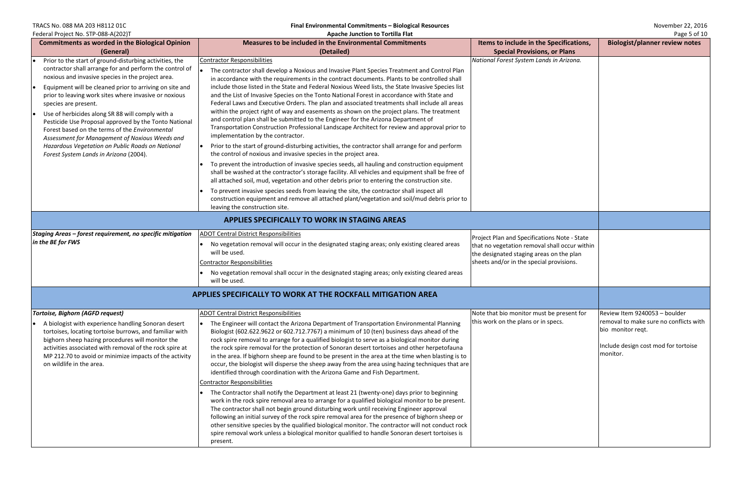TRACS No. 088 MA 203 H8112 01C **Final Environmental Commitments – Biological Resources** November 22, 2016

| Federal Project No. STP-088-A(202)T<br>Apache Junction to Tortilla Flat                                                                                                                                                                                                                                                                                                                                                                                                                                                                                                                                                            |                                                                                                                                                                                                                                                                                                                                                                                                                                                                                                                                                                                                                                                                                                                                                                                                                                                                                                                                                                                                                                                                                                                                                                                                                                                                                                                                                                                                                                                                                                                                                                              | Page 5 of 10                                                                                                                                                                          |                                                                                                                                                  |
|------------------------------------------------------------------------------------------------------------------------------------------------------------------------------------------------------------------------------------------------------------------------------------------------------------------------------------------------------------------------------------------------------------------------------------------------------------------------------------------------------------------------------------------------------------------------------------------------------------------------------------|------------------------------------------------------------------------------------------------------------------------------------------------------------------------------------------------------------------------------------------------------------------------------------------------------------------------------------------------------------------------------------------------------------------------------------------------------------------------------------------------------------------------------------------------------------------------------------------------------------------------------------------------------------------------------------------------------------------------------------------------------------------------------------------------------------------------------------------------------------------------------------------------------------------------------------------------------------------------------------------------------------------------------------------------------------------------------------------------------------------------------------------------------------------------------------------------------------------------------------------------------------------------------------------------------------------------------------------------------------------------------------------------------------------------------------------------------------------------------------------------------------------------------------------------------------------------------|---------------------------------------------------------------------------------------------------------------------------------------------------------------------------------------|--------------------------------------------------------------------------------------------------------------------------------------------------|
| <b>Commitments as worded in the Biological Opinion</b>                                                                                                                                                                                                                                                                                                                                                                                                                                                                                                                                                                             | <b>Measures to be included in the Environmental Commitments</b>                                                                                                                                                                                                                                                                                                                                                                                                                                                                                                                                                                                                                                                                                                                                                                                                                                                                                                                                                                                                                                                                                                                                                                                                                                                                                                                                                                                                                                                                                                              | Items to include in the Specifications,                                                                                                                                               | <b>Biologist/planner review notes</b>                                                                                                            |
| (General)                                                                                                                                                                                                                                                                                                                                                                                                                                                                                                                                                                                                                          | (Detailed)                                                                                                                                                                                                                                                                                                                                                                                                                                                                                                                                                                                                                                                                                                                                                                                                                                                                                                                                                                                                                                                                                                                                                                                                                                                                                                                                                                                                                                                                                                                                                                   | <b>Special Provisions, or Plans</b>                                                                                                                                                   |                                                                                                                                                  |
| Prior to the start of ground-disturbing activities, the<br>contractor shall arrange for and perform the control of<br>noxious and invasive species in the project area.<br>Equipment will be cleaned prior to arriving on site and<br>prior to leaving work sites where invasive or noxious<br>species are present.<br>Use of herbicides along SR 88 will comply with a<br>Pesticide Use Proposal approved by the Tonto National<br>Forest based on the terms of the Environmental<br>Assessment for Management of Noxious Weeds and<br>Hazardous Vegetation on Public Roads on National<br>Forest System Lands in Arizona (2004). | <b>Contractor Responsibilities</b><br>The contractor shall develop a Noxious and Invasive Plant Species Treatment and Control Plan<br>in accordance with the requirements in the contract documents. Plants to be controlled shall<br>include those listed in the State and Federal Noxious Weed lists, the State Invasive Species list<br>and the List of Invasive Species on the Tonto National Forest in accordance with State and<br>Federal Laws and Executive Orders. The plan and associated treatments shall include all areas<br>within the project right of way and easements as shown on the project plans. The treatment<br>and control plan shall be submitted to the Engineer for the Arizona Department of<br>Transportation Construction Professional Landscape Architect for review and approval prior to<br>implementation by the contractor.<br>Prior to the start of ground-disturbing activities, the contractor shall arrange for and perform<br>the control of noxious and invasive species in the project area.<br>To prevent the introduction of invasive species seeds, all hauling and construction equipment<br>shall be washed at the contractor's storage facility. All vehicles and equipment shall be free of<br>all attached soil, mud, vegetation and other debris prior to entering the construction site.<br>To prevent invasive species seeds from leaving the site, the contractor shall inspect all<br>construction equipment and remove all attached plant/vegetation and soil/mud debris prior to<br>leaving the construction site. | National Forest System Lands in Arizona.                                                                                                                                              |                                                                                                                                                  |
|                                                                                                                                                                                                                                                                                                                                                                                                                                                                                                                                                                                                                                    | APPLIES SPECIFICALLY TO WORK IN STAGING AREAS                                                                                                                                                                                                                                                                                                                                                                                                                                                                                                                                                                                                                                                                                                                                                                                                                                                                                                                                                                                                                                                                                                                                                                                                                                                                                                                                                                                                                                                                                                                                |                                                                                                                                                                                       |                                                                                                                                                  |
| Staging Areas - forest requirement, no specific mitigation<br>in the BE for FWS                                                                                                                                                                                                                                                                                                                                                                                                                                                                                                                                                    | <b>ADOT Central District Responsibilities</b><br>No vegetation removal will occur in the designated staging areas; only existing cleared areas<br>will be used.<br><b>Contractor Responsibilities</b><br>No vegetation removal shall occur in the designated staging areas; only existing cleared areas<br>will be used.                                                                                                                                                                                                                                                                                                                                                                                                                                                                                                                                                                                                                                                                                                                                                                                                                                                                                                                                                                                                                                                                                                                                                                                                                                                     | Project Plan and Specifications Note - State<br>that no vegetation removal shall occur within<br>the designated staging areas on the plan<br>sheets and/or in the special provisions. |                                                                                                                                                  |
|                                                                                                                                                                                                                                                                                                                                                                                                                                                                                                                                                                                                                                    | APPLIES SPECIFICALLY TO WORK AT THE ROCKFALL MITIGATION AREA                                                                                                                                                                                                                                                                                                                                                                                                                                                                                                                                                                                                                                                                                                                                                                                                                                                                                                                                                                                                                                                                                                                                                                                                                                                                                                                                                                                                                                                                                                                 |                                                                                                                                                                                       |                                                                                                                                                  |
| <b>Tortoise, Bighorn (AGFD request)</b><br>A biologist with experience handling Sonoran desert<br>tortoises, locating tortoise burrows, and familiar with<br>bighorn sheep hazing procedures will monitor the<br>activities associated with removal of the rock spire at<br>MP 212.70 to avoid or minimize impacts of the activity<br>on wildlife in the area.                                                                                                                                                                                                                                                                     | <b>ADOT Central District Responsibilities</b><br>The Engineer will contact the Arizona Department of Transportation Environmental Planning<br>Biologist (602.622.9622 or 602.712.7767) a minimum of 10 (ten) business days ahead of the<br>rock spire removal to arrange for a qualified biologist to serve as a biological monitor during<br>the rock spire removal for the protection of Sonoran desert tortoises and other herpetofauna<br>in the area. If bighorn sheep are found to be present in the area at the time when blasting is to<br>occur, the biologist will disperse the sheep away from the area using hazing techniques that are<br>identified through coordination with the Arizona Game and Fish Department.<br><b>Contractor Responsibilities</b><br>The Contractor shall notify the Department at least 21 (twenty-one) days prior to beginning<br>work in the rock spire removal area to arrange for a qualified biological monitor to be present.<br>The contractor shall not begin ground disturbing work until receiving Engineer approval<br>following an initial survey of the rock spire removal area for the presence of bighorn sheep or<br>other sensitive species by the qualified biological monitor. The contractor will not conduct rock<br>spire removal work unless a biological monitor qualified to handle Sonoran desert tortoises is<br>present.                                                                                                                                                                                  | Note that bio monitor must be present for<br>this work on the plans or in specs.                                                                                                      | Review Item 9240053 - boulder<br>removal to make sure no conflicts with<br>bio monitor reqt.<br>Include design cost mod for tortoise<br>monitor. |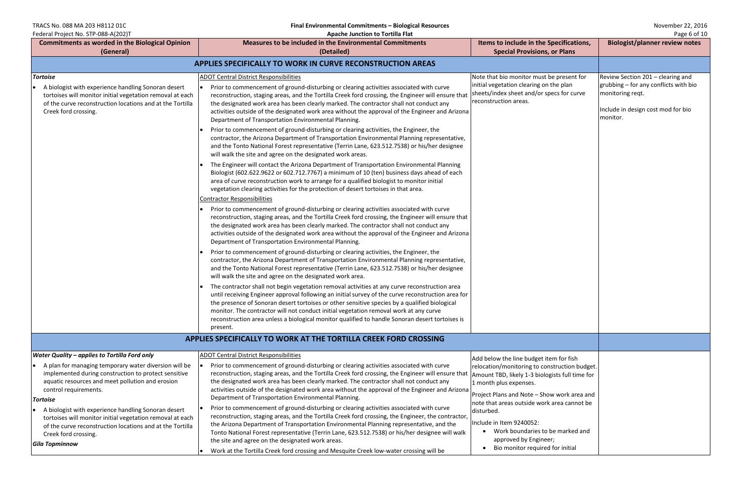TRACS No. 088 MA 203 H8112 01C **Final Environmental Commitments – Biological Resources** November 22, 2016

| $\frac{1}{2}$<br><b>Commitments as worded in the Biological Opinion</b>                                                                                                                               | Measures to be included in the Environmental Commitments                                                                                                                                                                                                                                                                                                                                                                                                                                                     | Items to include in the Specifications,                                                                                                                                   | - טביט טי<br><b>Biologist/planner review notes</b>                                                          |
|-------------------------------------------------------------------------------------------------------------------------------------------------------------------------------------------------------|--------------------------------------------------------------------------------------------------------------------------------------------------------------------------------------------------------------------------------------------------------------------------------------------------------------------------------------------------------------------------------------------------------------------------------------------------------------------------------------------------------------|---------------------------------------------------------------------------------------------------------------------------------------------------------------------------|-------------------------------------------------------------------------------------------------------------|
| (General)                                                                                                                                                                                             | (Detailed)                                                                                                                                                                                                                                                                                                                                                                                                                                                                                                   | <b>Special Provisions, or Plans</b>                                                                                                                                       |                                                                                                             |
| <b>APPLIES SPECIFICALLY TO WORK IN CURVE RECONSTRUCTION AREAS</b>                                                                                                                                     |                                                                                                                                                                                                                                                                                                                                                                                                                                                                                                              |                                                                                                                                                                           |                                                                                                             |
| <b>Tortoise</b>                                                                                                                                                                                       | <b>ADOT Central District Responsibilities</b>                                                                                                                                                                                                                                                                                                                                                                                                                                                                | Note that bio monitor must be present for                                                                                                                                 | Review Section 201 - clearing and                                                                           |
| A biologist with experience handling Sonoran desert<br>tortoises will monitor initial vegetation removal at each<br>of the curve reconstruction locations and at the Tortilla<br>Creek ford crossing. | Prior to commencement of ground-disturbing or clearing activities associated with curve<br>reconstruction, staging areas, and the Tortilla Creek ford crossing, the Engineer will ensure that<br>the designated work area has been clearly marked. The contractor shall not conduct any<br>activities outside of the designated work area without the approval of the Engineer and Arizona<br>Department of Transportation Environmental Planning.                                                           | initial vegetation clearing on the plan<br>sheets/index sheet and/or specs for curve<br>reconstruction areas.                                                             | grubbing – for any conflicts with bio<br>monitoring reqt.<br>Include in design cost mod for bio<br>monitor. |
|                                                                                                                                                                                                       | Prior to commencement of ground-disturbing or clearing activities, the Engineer, the<br>contractor, the Arizona Department of Transportation Environmental Planning representative,<br>and the Tonto National Forest representative (Terrin Lane, 623.512.7538) or his/her designee<br>will walk the site and agree on the designated work areas.                                                                                                                                                            |                                                                                                                                                                           |                                                                                                             |
|                                                                                                                                                                                                       | The Engineer will contact the Arizona Department of Transportation Environmental Planning<br>Biologist (602.622.9622 or 602.712.7767) a minimum of 10 (ten) business days ahead of each<br>area of curve reconstruction work to arrange for a qualified biologist to monitor initial<br>vegetation clearing activities for the protection of desert tortoises in that area.                                                                                                                                  |                                                                                                                                                                           |                                                                                                             |
|                                                                                                                                                                                                       | <b>Contractor Responsibilities</b>                                                                                                                                                                                                                                                                                                                                                                                                                                                                           |                                                                                                                                                                           |                                                                                                             |
|                                                                                                                                                                                                       | Prior to commencement of ground-disturbing or clearing activities associated with curve<br>reconstruction, staging areas, and the Tortilla Creek ford crossing, the Engineer will ensure that<br>the designated work area has been clearly marked. The contractor shall not conduct any<br>activities outside of the designated work area without the approval of the Engineer and Arizona<br>Department of Transportation Environmental Planning.                                                           |                                                                                                                                                                           |                                                                                                             |
|                                                                                                                                                                                                       | Prior to commencement of ground-disturbing or clearing activities, the Engineer, the<br>contractor, the Arizona Department of Transportation Environmental Planning representative,<br>and the Tonto National Forest representative (Terrin Lane, 623.512.7538) or his/her designee<br>will walk the site and agree on the designated work area.                                                                                                                                                             |                                                                                                                                                                           |                                                                                                             |
|                                                                                                                                                                                                       | The contractor shall not begin vegetation removal activities at any curve reconstruction area<br>until receiving Engineer approval following an initial survey of the curve reconstruction area for<br>the presence of Sonoran desert tortoises or other sensitive species by a qualified biological<br>monitor. The contractor will not conduct initial vegetation removal work at any curve<br>reconstruction area unless a biological monitor qualified to handle Sonoran desert tortoises is<br>present. |                                                                                                                                                                           |                                                                                                             |
|                                                                                                                                                                                                       | APPLIES SPECIFICALLY TO WORK AT THE TORTILLA CREEK FORD CROSSING                                                                                                                                                                                                                                                                                                                                                                                                                                             |                                                                                                                                                                           |                                                                                                             |
| <b>Water Quality - applies to Tortilla Ford only</b>                                                                                                                                                  | <b>ADOT Central District Responsibilities</b>                                                                                                                                                                                                                                                                                                                                                                                                                                                                | Add below the line budget item for fish                                                                                                                                   |                                                                                                             |
| A plan for managing temporary water diversion will be<br>implemented during construction to protect sensitive<br>aquatic resources and meet pollution and erosion<br>control requirements.            | Prior to commencement of ground-disturbing or clearing activities associated with curve<br>reconstruction, staging areas, and the Tortilla Creek ford crossing, the Engineer will ensure that<br>the designated work area has been clearly marked. The contractor shall not conduct any<br>activities outside of the designated work area without the approval of the Engineer and Arizona<br>Department of Transportation Environmental Planning.                                                           | relocation/monitoring to construction budget.<br>Amount TBD, likely 1-3 biologists full time for<br>1 month plus expenses.<br>Project Plans and Note - Show work area and |                                                                                                             |
| <b>Tortoise</b>                                                                                                                                                                                       | Prior to commencement of ground-disturbing or clearing activities associated with curve                                                                                                                                                                                                                                                                                                                                                                                                                      | note that areas outside work area cannot be                                                                                                                               |                                                                                                             |
| A biologist with experience handling Sonoran desert<br>tortoises will monitor initial vegetation removal at each                                                                                      | reconstruction, staging areas, and the Tortilla Creek ford crossing, the Engineer, the contractor,                                                                                                                                                                                                                                                                                                                                                                                                           | disturbed.                                                                                                                                                                |                                                                                                             |
| of the curve reconstruction locations and at the Tortilla                                                                                                                                             | the Arizona Department of Transportation Environmental Planning representative, and the                                                                                                                                                                                                                                                                                                                                                                                                                      | Include in Item 9240052:<br>Work boundaries to be marked and                                                                                                              |                                                                                                             |
| Creek ford crossing.                                                                                                                                                                                  | Tonto National Forest representative (Terrin Lane, 623.512.7538) or his/her designee will walk<br>the site and agree on the designated work areas.                                                                                                                                                                                                                                                                                                                                                           | approved by Engineer;                                                                                                                                                     |                                                                                                             |
| Gila Topminnow                                                                                                                                                                                        | Work at the Tortilla Creek ford crossing and Mesquite Creek low-water crossing will be                                                                                                                                                                                                                                                                                                                                                                                                                       | Bio monitor required for initial                                                                                                                                          |                                                                                                             |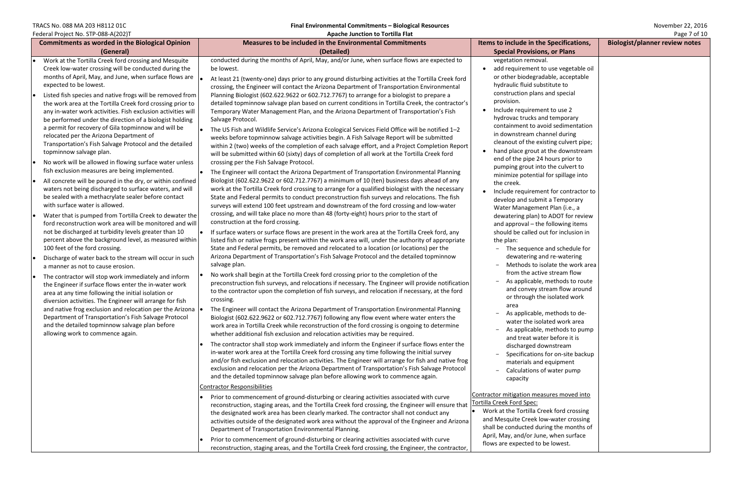| <b>Commitments as worded in the Biological Opinion</b>                                                                                                                                                                                                                                                                                                                                                                                                                                                                                                                                                                                                                                                                                                                                                                                                                                                                                                                                                                                                                                                                                                                                                                                                                                                                                                                                                                                                                                                                                                                                                                                                                                                                                                                                                                                                                            | <b>Measures to be included in the Environmental Commitments</b>                                                                                                                                                                                                                                                                                                                                                                                                                                                                                                                                                                                                                                                                                                                                                                                                                                                                                                                                                                                                                                                                                                                                                                                                                                                                                                                                                                                                                                                                                                                                                                                                                                                                                                                                                                                                                                                                                                                                                                                                                                                                                                                                                                                                                                                                                                                                                                                                                                                                                                                                                                                                                                                                                                                                                                                                                                                                                                                                                                                 | Items to include in the Specifications,                                                                                                                                                                                                                                                                                                                                                                                                                                                                                                                                                                                                                                                                                                                                                                                                                                                                                                                                                                                                                                                                                                                                                                                  | Biologist/planner review notes |
|-----------------------------------------------------------------------------------------------------------------------------------------------------------------------------------------------------------------------------------------------------------------------------------------------------------------------------------------------------------------------------------------------------------------------------------------------------------------------------------------------------------------------------------------------------------------------------------------------------------------------------------------------------------------------------------------------------------------------------------------------------------------------------------------------------------------------------------------------------------------------------------------------------------------------------------------------------------------------------------------------------------------------------------------------------------------------------------------------------------------------------------------------------------------------------------------------------------------------------------------------------------------------------------------------------------------------------------------------------------------------------------------------------------------------------------------------------------------------------------------------------------------------------------------------------------------------------------------------------------------------------------------------------------------------------------------------------------------------------------------------------------------------------------------------------------------------------------------------------------------------------------|-------------------------------------------------------------------------------------------------------------------------------------------------------------------------------------------------------------------------------------------------------------------------------------------------------------------------------------------------------------------------------------------------------------------------------------------------------------------------------------------------------------------------------------------------------------------------------------------------------------------------------------------------------------------------------------------------------------------------------------------------------------------------------------------------------------------------------------------------------------------------------------------------------------------------------------------------------------------------------------------------------------------------------------------------------------------------------------------------------------------------------------------------------------------------------------------------------------------------------------------------------------------------------------------------------------------------------------------------------------------------------------------------------------------------------------------------------------------------------------------------------------------------------------------------------------------------------------------------------------------------------------------------------------------------------------------------------------------------------------------------------------------------------------------------------------------------------------------------------------------------------------------------------------------------------------------------------------------------------------------------------------------------------------------------------------------------------------------------------------------------------------------------------------------------------------------------------------------------------------------------------------------------------------------------------------------------------------------------------------------------------------------------------------------------------------------------------------------------------------------------------------------------------------------------------------------------------------------------------------------------------------------------------------------------------------------------------------------------------------------------------------------------------------------------------------------------------------------------------------------------------------------------------------------------------------------------------------------------------------------------------------------------------------------------|--------------------------------------------------------------------------------------------------------------------------------------------------------------------------------------------------------------------------------------------------------------------------------------------------------------------------------------------------------------------------------------------------------------------------------------------------------------------------------------------------------------------------------------------------------------------------------------------------------------------------------------------------------------------------------------------------------------------------------------------------------------------------------------------------------------------------------------------------------------------------------------------------------------------------------------------------------------------------------------------------------------------------------------------------------------------------------------------------------------------------------------------------------------------------------------------------------------------------|--------------------------------|
| (General)                                                                                                                                                                                                                                                                                                                                                                                                                                                                                                                                                                                                                                                                                                                                                                                                                                                                                                                                                                                                                                                                                                                                                                                                                                                                                                                                                                                                                                                                                                                                                                                                                                                                                                                                                                                                                                                                         | (Detailed)                                                                                                                                                                                                                                                                                                                                                                                                                                                                                                                                                                                                                                                                                                                                                                                                                                                                                                                                                                                                                                                                                                                                                                                                                                                                                                                                                                                                                                                                                                                                                                                                                                                                                                                                                                                                                                                                                                                                                                                                                                                                                                                                                                                                                                                                                                                                                                                                                                                                                                                                                                                                                                                                                                                                                                                                                                                                                                                                                                                                                                      | <b>Special Provisions, or Plans</b>                                                                                                                                                                                                                                                                                                                                                                                                                                                                                                                                                                                                                                                                                                                                                                                                                                                                                                                                                                                                                                                                                                                                                                                      |                                |
| Federal Project No. STP-088-A(202)T<br>Work at the Tortilla Creek ford crossing and Mesquite<br>Creek low-water crossing will be conducted during the<br>months of April, May, and June, when surface flows are $\vert$ .<br>expected to be lowest.<br>Listed fish species and native frogs will be removed from<br>the work area at the Tortilla Creek ford crossing prior to<br>any in-water work activities. Fish exclusion activities will<br>be performed under the direction of a biologist holding<br>a permit for recovery of Gila topminnow and will be<br>relocated per the Arizona Department of<br>Transportation's Fish Salvage Protocol and the detailed<br>topminnow salvage plan.<br>No work will be allowed in flowing surface water unless<br>fish exclusion measures are being implemented.<br>All concrete will be poured in the dry, or within confined<br>waters not being discharged to surface waters, and will<br>be sealed with a methacrylate sealer before contact<br>with surface water is allowed.<br>Water that is pumped from Tortilla Creek to dewater the<br>ford reconstruction work area will be monitored and will<br>not be discharged at turbidity levels greater than 10<br>percent above the background level, as measured within<br>100 feet of the ford crossing.<br>Discharge of water back to the stream will occur in such<br>a manner as not to cause erosion.<br>The contractor will stop work immediately and inform<br>the Engineer if surface flows enter the in-water work<br>area at any time following the initial isolation or<br>diversion activities. The Engineer will arrange for fish<br>and native frog exclusion and relocation per the Arizona $\vert \bullet \vert$<br>Department of Transportation's Fish Salvage Protocol<br>and the detailed topminnow salvage plan before<br>allowing work to commence again. | Apache Junction to Tortilla Flat<br>conducted during the months of April, May, and/or June, when surface flows are expected to<br>be lowest.<br>At least 21 (twenty-one) days prior to any ground disturbing activities at the Tortilla Creek ford<br>crossing, the Engineer will contact the Arizona Department of Transportation Environmental<br>Planning Biologist (602.622.9622 or 602.712.7767) to arrange for a biologist to prepare a<br>detailed topminnow salvage plan based on current conditions in Tortilla Creek, the contractor's<br>Temporary Water Management Plan, and the Arizona Department of Transportation's Fish<br>Salvage Protocol.<br>The US Fish and Wildlife Service's Arizona Ecological Services Field Office will be notified 1-2<br>weeks before topminnow salvage activities begin. A Fish Salvage Report will be submitted<br>within 2 (two) weeks of the completion of each salvage effort, and a Project Completion Report<br>will be submitted within 60 (sixty) days of completion of all work at the Tortilla Creek ford<br>crossing per the Fish Salvage Protocol.<br>The Engineer will contact the Arizona Department of Transportation Environmental Planning<br>Biologist (602.622.9622 or 602.712.7767) a minimum of 10 (ten) business days ahead of any<br>work at the Tortilla Creek ford crossing to arrange for a qualified biologist with the necessary<br>State and Federal permits to conduct preconstruction fish surveys and relocations. The fish<br>surveys will extend 100 feet upstream and downstream of the ford crossing and low-water<br>crossing, and will take place no more than 48 (forty-eight) hours prior to the start of<br>construction at the ford crossing.<br>If surface waters or surface flows are present in the work area at the Tortilla Creek ford, any<br>listed fish or native frogs present within the work area will, under the authority of appropriate<br>State and Federal permits, be removed and relocated to a location (or locations) per the<br>Arizona Department of Transportation's Fish Salvage Protocol and the detailed topminnow<br>salvage plan.<br>No work shall begin at the Tortilla Creek ford crossing prior to the completion of the<br>preconstruction fish surveys, and relocations if necessary. The Engineer will provide notification<br>to the contractor upon the completion of fish surveys, and relocation if necessary, at the ford<br>crossing.<br>The Engineer will contact the Arizona Department of Transportation Environmental Planning<br>Biologist (602.622.9622 or 602.712.7767) following any flow event where water enters the<br>work area in Tortilla Creek while reconstruction of the ford crossing is ongoing to determine<br>whether additional fish exclusion and relocation activities may be required.<br>The contractor shall stop work immediately and inform the Engineer if surface flows enter the<br>in-water work area at the Tortilla Creek ford crossing any time following the initial survey | vegetation removal.<br>add requirement to use vegetable oil<br>or other biodegradable, acceptable<br>hydraulic fluid substitute to<br>construction plans and special<br>provision.<br>Include requirement to use 2<br>hydrovac trucks and temporary<br>containment to avoid sedimentation<br>in downstream channel during<br>cleanout of the existing culvert pipe;<br>hand place grout at the downstream<br>end of the pipe 24 hours prior to<br>pumping grout into the culvert to<br>minimize potential for spillage into<br>the creek.<br>Include requirement for contractor to<br>develop and submit a Temporary<br>Water Management Plan (i.e., a<br>dewatering plan) to ADOT for review<br>and approval - the following items<br>should be called out for inclusion in<br>the plan:<br>The sequence and schedule for<br>$\qquad \qquad -$<br>dewatering and re-watering<br>Methods to isolate the work area<br>from the active stream flow<br>As applicable, methods to route<br>and convey stream flow around<br>or through the isolated work<br>area<br>As applicable, methods to de-<br>water the isolated work area<br>As applicable, methods to pump<br>and treat water before it is<br>discharged downstream | Page 7 of 10                   |
|                                                                                                                                                                                                                                                                                                                                                                                                                                                                                                                                                                                                                                                                                                                                                                                                                                                                                                                                                                                                                                                                                                                                                                                                                                                                                                                                                                                                                                                                                                                                                                                                                                                                                                                                                                                                                                                                                   | and/or fish exclusion and relocation activities. The Engineer will arrange for fish and native frog<br>exclusion and relocation per the Arizona Department of Transportation's Fish Salvage Protocol                                                                                                                                                                                                                                                                                                                                                                                                                                                                                                                                                                                                                                                                                                                                                                                                                                                                                                                                                                                                                                                                                                                                                                                                                                                                                                                                                                                                                                                                                                                                                                                                                                                                                                                                                                                                                                                                                                                                                                                                                                                                                                                                                                                                                                                                                                                                                                                                                                                                                                                                                                                                                                                                                                                                                                                                                                            | Specifications for on-site backup<br>materials and equipment                                                                                                                                                                                                                                                                                                                                                                                                                                                                                                                                                                                                                                                                                                                                                                                                                                                                                                                                                                                                                                                                                                                                                             |                                |
|                                                                                                                                                                                                                                                                                                                                                                                                                                                                                                                                                                                                                                                                                                                                                                                                                                                                                                                                                                                                                                                                                                                                                                                                                                                                                                                                                                                                                                                                                                                                                                                                                                                                                                                                                                                                                                                                                   | and the detailed topminnow salvage plan before allowing work to commence again.<br><b>Contractor Responsibilities</b><br>Prior to commencement of ground-disturbing or clearing activities associated with curve<br>reconstruction, staging areas, and the Tortilla Creek ford crossing, the Engineer will ensure that<br>the designated work area has been clearly marked. The contractor shall not conduct any<br>activities outside of the designated work area without the approval of the Engineer and Arizona<br>Department of Transportation Environmental Planning.                                                                                                                                                                                                                                                                                                                                                                                                                                                                                                                                                                                                                                                                                                                                                                                                                                                                                                                                                                                                                                                                                                                                                                                                                                                                                                                                                                                                                                                                                                                                                                                                                                                                                                                                                                                                                                                                                                                                                                                                                                                                                                                                                                                                                                                                                                                                                                                                                                                                     | Calculations of water pump<br>-<br>capacity<br>Contractor mitigation measures moved into<br>Tortilla Creek Ford Spec:<br>• Work at the Tortilla Creek ford crossing<br>and Mesquite Creek low-water crossing<br>shall be conducted during the months of<br>April, May, and/or June, when surface                                                                                                                                                                                                                                                                                                                                                                                                                                                                                                                                                                                                                                                                                                                                                                                                                                                                                                                         |                                |
|                                                                                                                                                                                                                                                                                                                                                                                                                                                                                                                                                                                                                                                                                                                                                                                                                                                                                                                                                                                                                                                                                                                                                                                                                                                                                                                                                                                                                                                                                                                                                                                                                                                                                                                                                                                                                                                                                   | Prior to commencement of ground-disturbing or clearing activities associated with curve<br>reconstruction, staging areas, and the Tortilla Creek ford crossing, the Engineer, the contractor,                                                                                                                                                                                                                                                                                                                                                                                                                                                                                                                                                                                                                                                                                                                                                                                                                                                                                                                                                                                                                                                                                                                                                                                                                                                                                                                                                                                                                                                                                                                                                                                                                                                                                                                                                                                                                                                                                                                                                                                                                                                                                                                                                                                                                                                                                                                                                                                                                                                                                                                                                                                                                                                                                                                                                                                                                                                   | flows are expected to be lowest.                                                                                                                                                                                                                                                                                                                                                                                                                                                                                                                                                                                                                                                                                                                                                                                                                                                                                                                                                                                                                                                                                                                                                                                         |                                |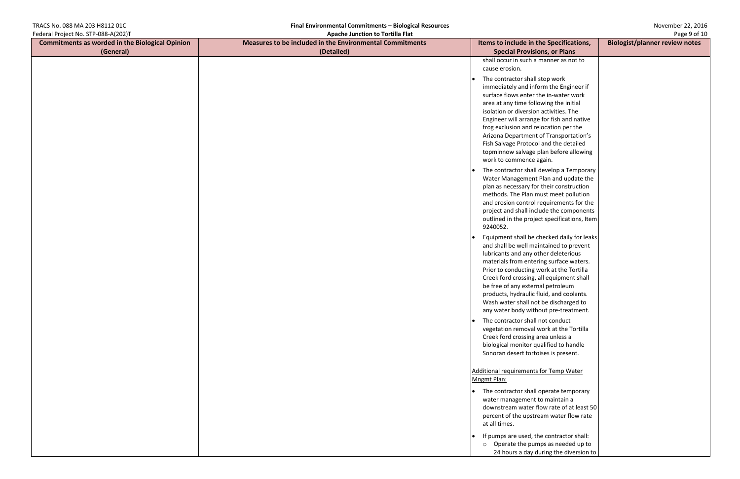| TRACS No. 088 MA 203 H8112 01C                         | Final Environmental Commitments - Biological Resources   |                                         | November 22, 2016                     |
|--------------------------------------------------------|----------------------------------------------------------|-----------------------------------------|---------------------------------------|
| Federal Project No. STP-088-A(202)T                    | <b>Apache Junction to Tortilla Flat</b>                  |                                         | Page 9 of 10                          |
| <b>Commitments as worded in the Biological Opinion</b> | Measures to be included in the Environmental Commitments | Items to include in the Specifications, | <b>Biologist/planner review notes</b> |
| (General)                                              | (Detailed)                                               | <b>Special Provisions, or Plans</b>     |                                       |
|                                                        |                                                          | shall occur in such a manner as not to  |                                       |
|                                                        |                                                          | cause erosion.                          |                                       |

- The contractor shall sto immediately and inform surface flows enter the area at any time follow isolation or diversion a Engineer will arrange f frog exclusion and relo Arizona Department of Fish Salvage Protocol a topminnow salvage pla work to commence aga
- The contractor shall de Water Management Pl plan as necessary for the methods. The Plan must and erosion control require project and shall includ outlined in the project 9240052.
- Equipment shall be che and shall be well maint lubricants and any othe materials from enterin Prior to conducting wo Creek ford crossing, all be free of any external products, hydraulic flui Wash water shall not b any water body without
- The contractor shall no vegetation removal wo Creek ford crossing are biological monitor qual Sonoran desert tortois

|                                   | <b>Page 9 01 IU</b>                   |
|-----------------------------------|---------------------------------------|
| e Specifications,                 | <b>Biologist/planner review notes</b> |
| າs, or Plans                      |                                       |
| anner as not to                   |                                       |
|                                   |                                       |
| op work                           |                                       |
| m the Engineer if                 |                                       |
| e in-water work                   |                                       |
| ving the initial                  |                                       |
| ctivities. The                    |                                       |
| or fish and native                |                                       |
| cation per the                    |                                       |
| f Transportation's                |                                       |
| and the detailed                  |                                       |
| an before allowing                |                                       |
| ain.                              |                                       |
|                                   |                                       |
| evelop a Temporary                |                                       |
| lan and update the                |                                       |
| heir construction                 |                                       |
| st meet pollution                 |                                       |
| quirements for the                |                                       |
| de the components                 |                                       |
| specifications, Item              |                                       |
|                                   |                                       |
| ecked daily for leaks             |                                       |
| tained to prevent                 |                                       |
| er deleterious                    |                                       |
| g surface waters.                 |                                       |
| ork at the Tortilla               |                                       |
| equipment shall                   |                                       |
| I petroleum                       |                                       |
| id, and coolants.                 |                                       |
| be discharged to                  |                                       |
| ut pre-treatment.                 |                                       |
|                                   |                                       |
| ot conduct<br>ork at the Tortilla |                                       |
| ea unless a                       |                                       |
| lified to handle                  |                                       |
| es is present.                    |                                       |
|                                   |                                       |
|                                   |                                       |
| <u>or Temp Water</u>              |                                       |
|                                   |                                       |
| perate temporary                  |                                       |
| maintain a                        |                                       |
| w rate of at least 50             |                                       |
| m water flow rate                 |                                       |
|                                   |                                       |
|                                   |                                       |
| contractor shall:                 |                                       |
| s as needed up to                 |                                       |
| ing the diversion to              |                                       |

## Additional requirements for Mngmt Plan:

- $\bullet$  The contractor shall op water management to downstream water flow percent of the upstrea at all times.
- $\cdot$  If pumps are used, the o Operate the pump
	- 24 hours a day dur